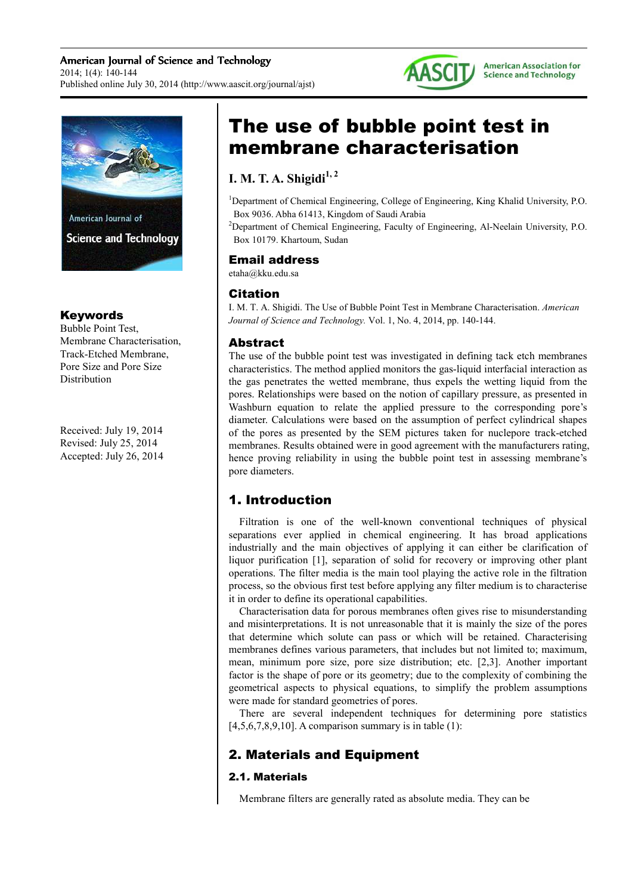



### Keywords

Bubble Point Test, Membrane Characterisation, Track-Etched Membrane, Pore Size and Pore Size Distribution

Received: July 19, 2014 Revised: July 25, 2014 Accepted: July 26, 2014

# The use of bubble point test in membrane characterisation

# **I. M. T. A. Shigidi1, 2**

<sup>1</sup>Department of Chemical Engineering, College of Engineering, King Khalid University, P.O. Box 9036. Abha 61413, Kingdom of Saudi Arabia

<sup>2</sup>Department of Chemical Engineering, Faculty of Engineering, Al-Neelain University, P.O. Box 10179. Khartoum, Sudan

### Email address

etaha@kku.edu.sa

# Citation

I. M. T. A. Shigidi. The Use of Bubble Point Test in Membrane Characterisation. *American Journal of Science and Technology.* Vol. 1, No. 4, 2014, pp. 140-144.

# Abstract

The use of the bubble point test was investigated in defining tack etch membranes characteristics. The method applied monitors the gas-liquid interfacial interaction as the gas penetrates the wetted membrane, thus expels the wetting liquid from the pores. Relationships were based on the notion of capillary pressure, as presented in Washburn equation to relate the applied pressure to the corresponding pore's diameter. Calculations were based on the assumption of perfect cylindrical shapes of the pores as presented by the SEM pictures taken for nuclepore track-etched membranes. Results obtained were in good agreement with the manufacturers rating, hence proving reliability in using the bubble point test in assessing membrane's pore diameters.

# 1. Introduction

Filtration is one of the well-known conventional techniques of physical separations ever applied in chemical engineering. It has broad applications industrially and the main objectives of applying it can either be clarification of liquor purification [1], separation of solid for recovery or improving other plant operations. The filter media is the main tool playing the active role in the filtration process, so the obvious first test before applying any filter medium is to characterise it in order to define its operational capabilities.

Characterisation data for porous membranes often gives rise to misunderstanding and misinterpretations. It is not unreasonable that it is mainly the size of the pores that determine which solute can pass or which will be retained. Characterising membranes defines various parameters, that includes but not limited to; maximum, mean, minimum pore size, pore size distribution; etc. [2,3]. Another important factor is the shape of pore or its geometry; due to the complexity of combining the geometrical aspects to physical equations, to simplify the problem assumptions were made for standard geometries of pores.

There are several independent techniques for determining pore statistics  $[4,5,6,7,8,9,10]$ . A comparison summary is in table (1):

# 2. Materials and Equipment

# 2.1. Materials

Membrane filters are generally rated as absolute media. They can be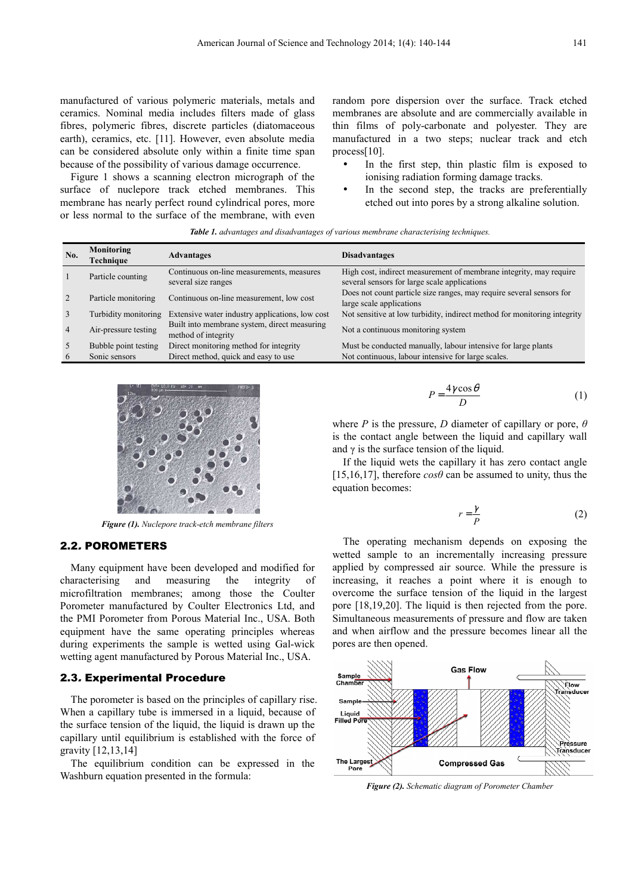manufactured of various polymeric materials, metals and ceramics. Nominal media includes filters made of glass fibres, polymeric fibres, discrete particles (diatomaceous earth), ceramics, etc. [11]. However, even absolute media can be considered absolute only within a finite time span because of the possibility of various damage occurrence.

Figure 1 shows a scanning electron micrograph of the surface of nuclepore track etched membranes. This membrane has nearly perfect round cylindrical pores, more or less normal to the surface of the membrane, with even random pore dispersion over the surface. Track etched membranes are absolute and are commercially available in thin films of poly-carbonate and polyester. They are manufactured in a two steps; nuclear track and etch process[10].

- In the first step, thin plastic film is exposed to ionising radiation forming damage tracks.
- In the second step, the tracks are preferentially etched out into pores by a strong alkaline solution.

| Table 1. advantages and disadvantages of various membrane characterising techniques. |  |  |
|--------------------------------------------------------------------------------------|--|--|
|--------------------------------------------------------------------------------------|--|--|

| No. | Monitoring<br>Technique | Advantages                                                          | <b>Disadvantages</b>                                                                                               |
|-----|-------------------------|---------------------------------------------------------------------|--------------------------------------------------------------------------------------------------------------------|
|     | Particle counting       | Continuous on-line measurements, measures<br>several size ranges    | High cost, indirect measurement of membrane integrity, may require<br>several sensors for large scale applications |
|     | Particle monitoring     | Continuous on-line measurement, low cost                            | Does not count particle size ranges, may require several sensors for<br>large scale applications                   |
|     | Turbidity monitoring    | Extensive water industry applications, low cost                     | Not sensitive at low turbidity, indirect method for monitoring integrity                                           |
|     | Air-pressure testing    | Built into membrane system, direct measuring<br>method of integrity | Not a continuous monitoring system                                                                                 |
|     | Bubble point testing    | Direct monitoring method for integrity                              | Must be conducted manually, labour intensive for large plants                                                      |
|     | Sonic sensors           | Direct method, quick and easy to use                                | Not continuous, labour intensive for large scales.                                                                 |



*Figure (1). Nuclepore track-etch membrane filters* 

#### 2.2. POROMETERS

Many equipment have been developed and modified for characterising and measuring the integrity of microfiltration membranes; among those the Coulter Porometer manufactured by Coulter Electronics Ltd, and the PMI Porometer from Porous Material Inc., USA. Both equipment have the same operating principles whereas during experiments the sample is wetted using Gal-wick wetting agent manufactured by Porous Material Inc., USA.

#### 2.3. Experimental Procedure

The porometer is based on the principles of capillary rise. When a capillary tube is immersed in a liquid, because of the surface tension of the liquid, the liquid is drawn up the capillary until equilibrium is established with the force of gravity [12,13,14]

The equilibrium condition can be expressed in the Washburn equation presented in the formula:

$$
P = \frac{4\gamma \cos \theta}{D} \tag{1}
$$

where *P* is the pressure, *D* diameter of capillary or pore, *θ* is the contact angle between the liquid and capillary wall and  $\gamma$  is the surface tension of the liquid.

If the liquid wets the capillary it has zero contact angle [15,16,17], therefore  $\cos\theta$  can be assumed to unity, thus the equation becomes:

$$
r = \frac{\gamma}{P} \tag{2}
$$

The operating mechanism depends on exposing the wetted sample to an incrementally increasing pressure applied by compressed air source. While the pressure is increasing, it reaches a point where it is enough to overcome the surface tension of the liquid in the largest pore [18,19,20]. The liquid is then rejected from the pore. Simultaneous measurements of pressure and flow are taken and when airflow and the pressure becomes linear all the pores are then opened.



*Figure (2). Schematic diagram of Porometer Chamber*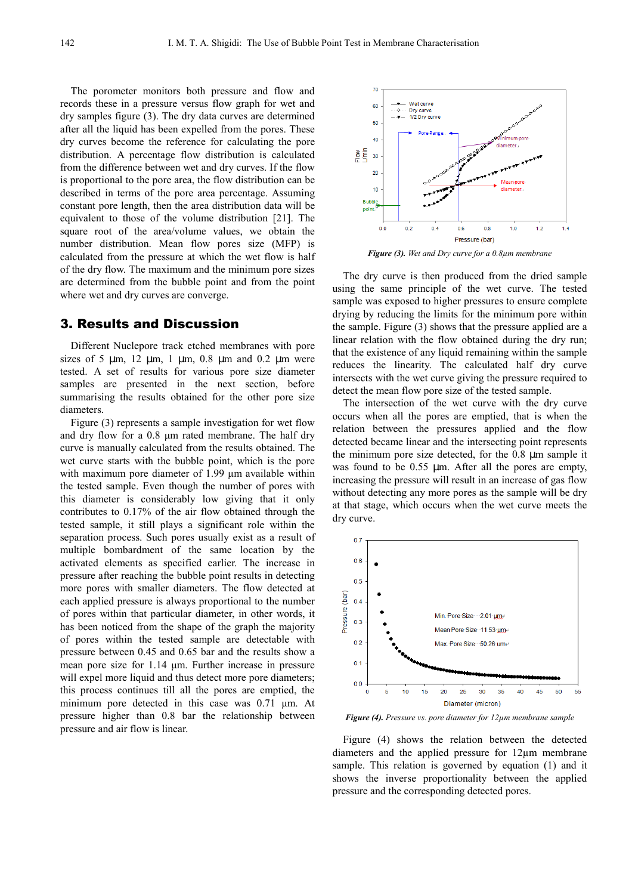The porometer monitors both pressure and flow and records these in a pressure versus flow graph for wet and dry samples figure (3). The dry data curves are determined after all the liquid has been expelled from the pores. These dry curves become the reference for calculating the pore distribution. A percentage flow distribution is calculated from the difference between wet and dry curves. If the flow is proportional to the pore area, the flow distribution can be described in terms of the pore area percentage. Assuming constant pore length, then the area distribution data will be equivalent to those of the volume distribution [21]. The square root of the area/volume values, we obtain the number distribution. Mean flow pores size (MFP) is calculated from the pressure at which the wet flow is half of the dry flow. The maximum and the minimum pore sizes are determined from the bubble point and from the point where wet and dry curves are converge.

### 3. Results and Discussion

Different Nuclepore track etched membranes with pore sizes of 5  $\mu$ m, 12  $\mu$ m, 1  $\mu$ m, 0.8  $\mu$ m and 0.2  $\mu$ m were tested. A set of results for various pore size diameter samples are presented in the next section, before summarising the results obtained for the other pore size diameters.

Figure (3) represents a sample investigation for wet flow and dry flow for a 0.8 µm rated membrane. The half dry curve is manually calculated from the results obtained. The wet curve starts with the bubble point, which is the pore with maximum pore diameter of 1.99  $\mu$ m available within the tested sample. Even though the number of pores with this diameter is considerably low giving that it only contributes to 0.17% of the air flow obtained through the tested sample, it still plays a significant role within the separation process. Such pores usually exist as a result of multiple bombardment of the same location by the activated elements as specified earlier. The increase in pressure after reaching the bubble point results in detecting more pores with smaller diameters. The flow detected at each applied pressure is always proportional to the number of pores within that particular diameter, in other words, it has been noticed from the shape of the graph the majority of pores within the tested sample are detectable with pressure between 0.45 and 0.65 bar and the results show a mean pore size for 1.14 µm. Further increase in pressure will expel more liquid and thus detect more pore diameters; this process continues till all the pores are emptied, the minimum pore detected in this case was 0.71 µm. At pressure higher than 0.8 bar the relationship between pressure and air flow is linear.



*Figure (3). Wet and Dry curve for a 0.8µm membrane* 

The dry curve is then produced from the dried sample using the same principle of the wet curve. The tested sample was exposed to higher pressures to ensure complete drying by reducing the limits for the minimum pore within the sample. Figure (3) shows that the pressure applied are a linear relation with the flow obtained during the dry run; that the existence of any liquid remaining within the sample reduces the linearity. The calculated half dry curve intersects with the wet curve giving the pressure required to detect the mean flow pore size of the tested sample.

The intersection of the wet curve with the dry curve occurs when all the pores are emptied, that is when the relation between the pressures applied and the flow detected became linear and the intersecting point represents the minimum pore size detected, for the 0.8 µm sample it was found to be 0.55  $\mu$ m. After all the pores are empty, increasing the pressure will result in an increase of gas flow without detecting any more pores as the sample will be dry at that stage, which occurs when the wet curve meets the dry curve.



*Figure (4). Pressure vs. pore diameter for 12µm membrane sample*

Figure (4) shows the relation between the detected diameters and the applied pressure for 12µm membrane sample. This relation is governed by equation (1) and it shows the inverse proportionality between the applied pressure and the corresponding detected pores.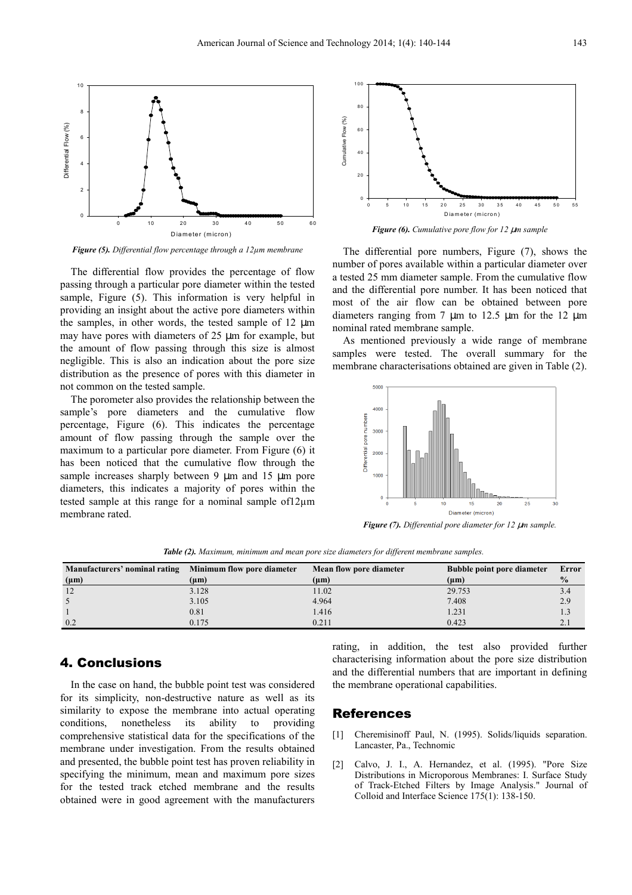

*Figure (5). Differential flow percentage through a 12µm membrane* 

The differential flow provides the percentage of flow passing through a particular pore diameter within the tested sample, Figure (5). This information is very helpful in providing an insight about the active pore diameters within the samples, in other words, the tested sample of 12  $\mu$ m may have pores with diameters of 25 µm for example, but the amount of flow passing through this size is almost negligible. This is also an indication about the pore size distribution as the presence of pores with this diameter in not common on the tested sample.

The porometer also provides the relationship between the sample's pore diameters and the cumulative flow percentage, Figure (6). This indicates the percentage amount of flow passing through the sample over the maximum to a particular pore diameter. From Figure (6) it has been noticed that the cumulative flow through the sample increases sharply between 9  $\mu$ m and 15  $\mu$ m pore diameters, this indicates a majority of pores within the tested sample at this range for a nominal sample of12µm membrane rated.



The differential pore numbers, Figure (7), shows the number of pores available within a particular diameter over a tested 25 mm diameter sample. From the cumulative flow and the differential pore number. It has been noticed that most of the air flow can be obtained between pore diameters ranging from 7  $\mu$ m to 12.5  $\mu$ m for the 12  $\mu$ m nominal rated membrane sample.

As mentioned previously a wide range of membrane samples were tested. The overall summary for the membrane characterisations obtained are given in Table (2).



*Figure (7). Differential pore diameter for 12* µ*m sample.* 

| Manufacturers' nominal rating Minimum flow pore diameter |           | Mean flow pore diameter | <b>Bubble point pore diameter</b> | Error         |
|----------------------------------------------------------|-----------|-------------------------|-----------------------------------|---------------|
| $(\mu m)$                                                | $(\mu m)$ | $(\mu m)$               | $(\mu m)$                         | $\frac{0}{0}$ |
| 12                                                       | 3.128     | 11.02                   | 29.753                            | 3.4           |
|                                                          | 3.105     | 4.964                   | 7.408                             | 2.9           |
|                                                          | 0.81      | 1.416                   | 1.231                             | 1.3           |
| 0.2                                                      | 0.175     | 0.211                   | 0.423                             |               |

*Table (2). Maximum, minimum and mean pore size diameters for different membrane samples.* 

### 4. Conclusions

In the case on hand, the bubble point test was considered for its simplicity, non-destructive nature as well as its similarity to expose the membrane into actual operating conditions, nonetheless its ability to providing comprehensive statistical data for the specifications of the membrane under investigation. From the results obtained and presented, the bubble point test has proven reliability in specifying the minimum, mean and maximum pore sizes for the tested track etched membrane and the results obtained were in good agreement with the manufacturers rating, in addition, the test also provided further characterising information about the pore size distribution and the differential numbers that are important in defining the membrane operational capabilities.

### References

- [1] Cheremisinoff Paul, N. (1995). Solids/liquids separation. Lancaster, Pa., Technomic
- [2] Calvo, J. I., A. Hernandez, et al. (1995). "Pore Size Distributions in Microporous Membranes: I. Surface Study of Track-Etched Filters by Image Analysis." Journal of Colloid and Interface Science 175(1): 138-150.